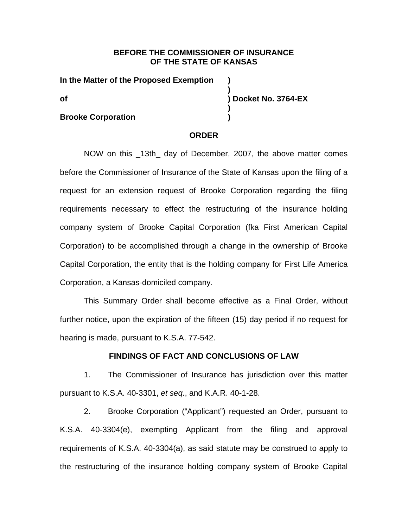## **BEFORE THE COMMISSIONER OF INSURANCE OF THE STATE OF KANSAS**

**)** 

**)** 

**In the Matter of the Proposed Exemption ) of ) Docket No. 3764-EX** 

### **Brooke Corporation** (1)

#### **ORDER**

NOW on this \_13th\_ day of December, 2007, the above matter comes before the Commissioner of Insurance of the State of Kansas upon the filing of a request for an extension request of Brooke Corporation regarding the filing requirements necessary to effect the restructuring of the insurance holding company system of Brooke Capital Corporation (fka First American Capital Corporation) to be accomplished through a change in the ownership of Brooke Capital Corporation, the entity that is the holding company for First Life America Corporation, a Kansas-domiciled company.

This Summary Order shall become effective as a Final Order, without further notice, upon the expiration of the fifteen (15) day period if no request for hearing is made, pursuant to K.S.A. 77-542.

#### **FINDINGS OF FACT AND CONCLUSIONS OF LAW**

1. The Commissioner of Insurance has jurisdiction over this matter pursuant to K.S.A. 40-3301, *et seq*., and K.A.R. 40-1-28.

2. Brooke Corporation ("Applicant") requested an Order, pursuant to K.S.A. 40-3304(e), exempting Applicant from the filing and approval requirements of K.S.A. 40-3304(a), as said statute may be construed to apply to the restructuring of the insurance holding company system of Brooke Capital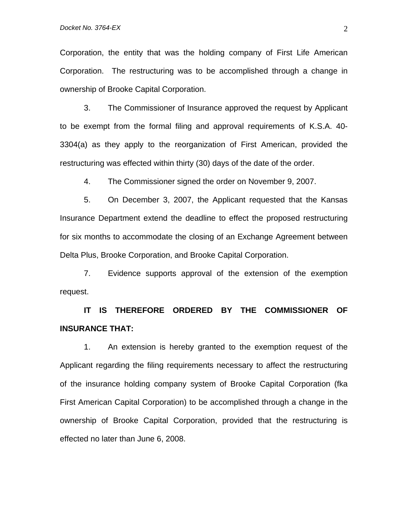Corporation, the entity that was the holding company of First Life American Corporation. The restructuring was to be accomplished through a change in ownership of Brooke Capital Corporation.

3. The Commissioner of Insurance approved the request by Applicant to be exempt from the formal filing and approval requirements of K.S.A. 40- 3304(a) as they apply to the reorganization of First American, provided the restructuring was effected within thirty (30) days of the date of the order.

4. The Commissioner signed the order on November 9, 2007.

5. On December 3, 2007, the Applicant requested that the Kansas Insurance Department extend the deadline to effect the proposed restructuring for six months to accommodate the closing of an Exchange Agreement between Delta Plus, Brooke Corporation, and Brooke Capital Corporation.

7. Evidence supports approval of the extension of the exemption request.

**IT IS THEREFORE ORDERED BY THE COMMISSIONER OF INSURANCE THAT:** 

1. An extension is hereby granted to the exemption request of the Applicant regarding the filing requirements necessary to affect the restructuring of the insurance holding company system of Brooke Capital Corporation (fka First American Capital Corporation) to be accomplished through a change in the ownership of Brooke Capital Corporation, provided that the restructuring is effected no later than June 6, 2008.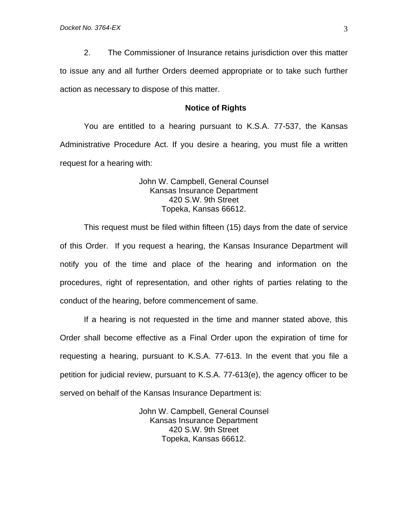2. The Commissioner of Insurance retains jurisdiction over this matter to issue any and all further Orders deemed appropriate or to take such further action as necessary to dispose of this matter.

#### **Notice of Rights**

You are entitled to a hearing pursuant to K.S.A. 77-537, the Kansas Administrative Procedure Act. If you desire a hearing, you must file a written request for a hearing with:

## John W. Campbell, General Counsel Kansas Insurance Department 420 S.W. 9th Street Topeka, Kansas 66612.

This request must be filed within fifteen (15) days from the date of service of this Order. If you request a hearing, the Kansas Insurance Department will notify you of the time and place of the hearing and information on the procedures, right of representation, and other rights of parties relating to the conduct of the hearing, before commencement of same.

If a hearing is not requested in the time and manner stated above, this Order shall become effective as a Final Order upon the expiration of time for requesting a hearing, pursuant to K.S.A. 77-613. In the event that you file a petition for judicial review, pursuant to K.S.A. 77-613(e), the agency officer to be served on behalf of the Kansas Insurance Department is:

> John W. Campbell, General Counsel Kansas Insurance Department 420 S.W. 9th Street Topeka, Kansas 66612.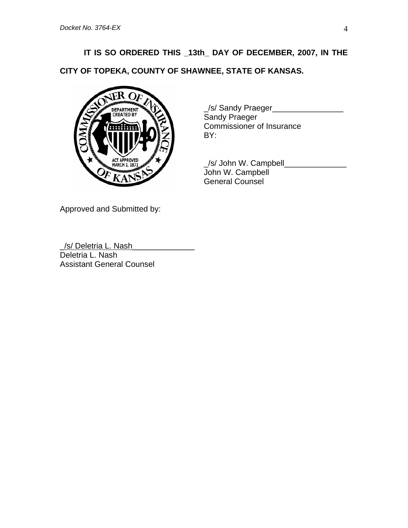# **IT IS SO ORDERED THIS \_13th\_ DAY OF DECEMBER, 2007, IN THE**

**CITY OF TOPEKA, COUNTY OF SHAWNEE, STATE OF KANSAS.** 



 \_/s/ Sandy Praeger\_\_\_\_\_\_\_\_\_\_\_\_\_\_\_\_ Sandy Praeger Commissioner of Insurance BY:

ACT APPROVED **A REAL PROPER SET AND REAL PROPERTY AND REAL PROPERTY AND REAL PROPERTY AND REAL PROPERTY AND RE**  John W. Campbell General Counsel

Approved and Submitted by:

\_/s/ Deletria L. Nash\_\_\_\_\_\_\_\_\_\_\_\_\_\_ Deletria L. Nash Assistant General Counsel